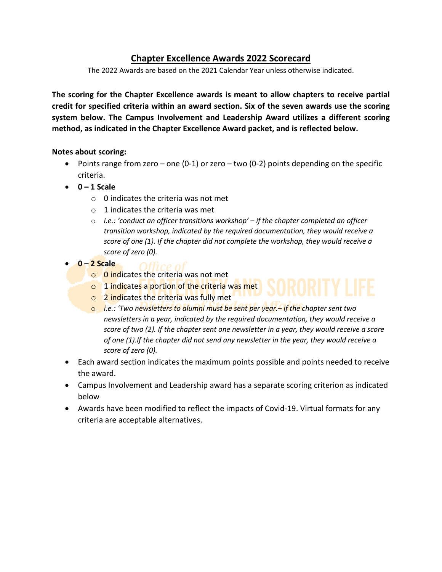## **Chapter Excellence Awards 2022 Scorecard**

The 2022 Awards are based on the 2021 Calendar Year unless otherwise indicated.

**The scoring for the Chapter Excellence awards is meant to allow chapters to receive partial credit for specified criteria within an award section. Six of the seven awards use the scoring system below. The Campus Involvement and Leadership Award utilizes a different scoring method, as indicated in the Chapter Excellence Award packet, and is reflected below.** 

#### **Notes about scoring:**

- Points range from zero one  $(0-1)$  or zero two  $(0-2)$  points depending on the specific criteria.
- **0 – 1 Scale**
	- $\circ$  0 indicates the criteria was not met
	- $\circ$  1 indicates the criteria was met
	- o *i.e.: 'conduct an officer transitions workshop' – if the chapter completed an officer transition workshop, indicated by the required documentation, they would receive a score of one (1). If the chapter did not complete the workshop, they would receive a score of zero (0).*
- **0 – 2 Scale**
	- o 0 indicates the criteria was not met
	- o 1 indicates a portion of the criteria was met
	- o 2 indicates the criteria was fully met
	- o *i.e.: 'Two newsletters to alumni must be sent per year.– if the chapter sent two newsletters in a year, indicated by the required documentation, they would receive a score of two (2). If the chapter sent one newsletter in a year, they would receive a score of one (1).If the chapter did not send any newsletter in the year, they would receive a score of zero (0).*
- Each award section indicates the maximum points possible and points needed to receive the award.
- Campus Involvement and Leadership award has a separate scoring criterion as indicated below
- Awards have been modified to reflect the impacts of Covid-19. Virtual formats for any criteria are acceptable alternatives.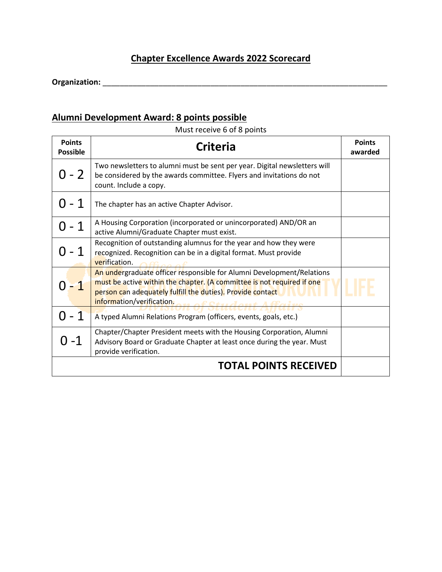## **Chapter Excellence Awards 2022 Scorecard**

**Organization:** \_\_\_\_\_\_\_\_\_\_\_\_\_\_\_\_\_\_\_\_\_\_\_\_\_\_\_\_\_\_\_\_\_\_\_\_\_\_\_\_\_\_\_\_\_\_\_\_\_\_\_\_\_\_\_\_\_\_\_\_\_\_\_\_\_\_

## **Alumni Development Award: 8 points possible**

Must receive 6 of 8 points

| <b>Points</b><br><b>Possible</b> | <b>Criteria</b>                                                                                                                                                                                                                                                  | <b>Points</b><br>awarded |
|----------------------------------|------------------------------------------------------------------------------------------------------------------------------------------------------------------------------------------------------------------------------------------------------------------|--------------------------|
| 0 - 2                            | Two newsletters to alumni must be sent per year. Digital newsletters will<br>be considered by the awards committee. Flyers and invitations do not<br>count. Include a copy.                                                                                      |                          |
| $-1$                             | The chapter has an active Chapter Advisor.                                                                                                                                                                                                                       |                          |
| $-1$                             | A Housing Corporation (incorporated or unincorporated) AND/OR an<br>active Alumni/Graduate Chapter must exist.                                                                                                                                                   |                          |
| $-1$                             | Recognition of outstanding alumnus for the year and how they were<br>recognized. Recognition can be in a digital format. Must provide<br>verification.<br>AC                                                                                                     |                          |
|                                  | An undergraduate officer responsible for Alumni Development/Relations<br>must be active within the chapter. (A committee is not required if one<br>person can adequately fulfill the duties). Provide contact<br>information/verification. or of Student Affairs |                          |
| - 1                              | A typed Alumni Relations Program (officers, events, goals, etc.)                                                                                                                                                                                                 |                          |
| ೧ -1                             | Chapter/Chapter President meets with the Housing Corporation, Alumni<br>Advisory Board or Graduate Chapter at least once during the year. Must<br>provide verification.                                                                                          |                          |
|                                  | <b>TOTAL POINTS RECEIVED</b>                                                                                                                                                                                                                                     |                          |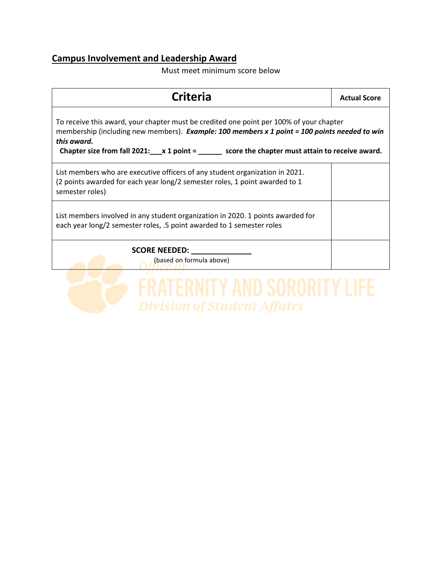## **Campus Involvement and Leadership Award**

Must meet minimum score below

| <b>Criteria</b>                                                                                                                                                                                                                                                                                               | <b>Actual Score</b> |  |
|---------------------------------------------------------------------------------------------------------------------------------------------------------------------------------------------------------------------------------------------------------------------------------------------------------------|---------------------|--|
| To receive this award, your chapter must be credited one point per 100% of your chapter<br>membership (including new members). Example: 100 members x 1 point = 100 points needed to win<br>this award.<br>Chapter size from fall 2021: $\mu$ 1 point = $\mu$ score the chapter must attain to receive award. |                     |  |
| List members who are executive officers of any student organization in 2021.<br>(2 points awarded for each year long/2 semester roles, 1 point awarded to 1<br>semester roles)                                                                                                                                |                     |  |
| List members involved in any student organization in 2020. 1 points awarded for<br>each year long/2 semester roles, .5 point awarded to 1 semester roles                                                                                                                                                      |                     |  |
| <b>SCORE NEEDED:</b><br>(based on formula above)                                                                                                                                                                                                                                                              |                     |  |

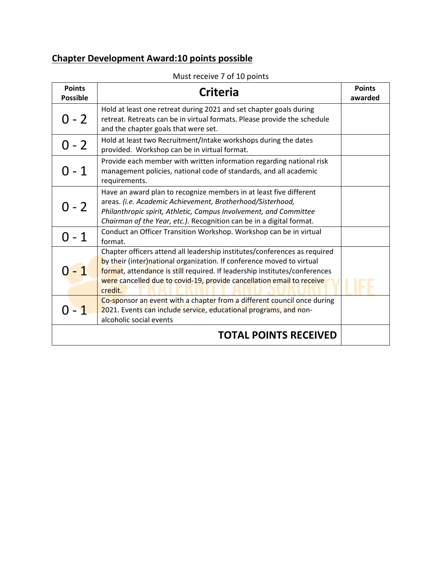# **Chapter Development Award:10 points possible**

| <b>Points</b><br><b>Possible</b> | <b>Criteria</b>                                                                                                                                                                                                                                                                                                       | <b>Points</b><br>awarded |
|----------------------------------|-----------------------------------------------------------------------------------------------------------------------------------------------------------------------------------------------------------------------------------------------------------------------------------------------------------------------|--------------------------|
| 0 - 2                            | Hold at least one retreat during 2021 and set chapter goals during<br>retreat. Retreats can be in virtual formats. Please provide the schedule<br>and the chapter goals that were set.                                                                                                                                |                          |
| $0 - 2$                          | Hold at least two Recruitment/Intake workshops during the dates<br>provided. Workshop can be in virtual format.                                                                                                                                                                                                       |                          |
| በ - 1                            | Provide each member with written information regarding national risk<br>management policies, national code of standards, and all academic<br>requirements.                                                                                                                                                            |                          |
| 0 - 2                            | Have an award plan to recognize members in at least five different<br>areas. (i.e. Academic Achievement, Brotherhood/Sisterhood,<br>Philanthropic spirit, Athletic, Campus Involvement, and Committee<br>Chairman of the Year, etc.). Recognition can be in a digital format.                                         |                          |
| በ - 1                            | Conduct an Officer Transition Workshop. Workshop can be in virtual<br>format.                                                                                                                                                                                                                                         |                          |
|                                  | Chapter officers attend all leadership institutes/conferences as required<br>by their (inter) national organization. If conference moved to virtual<br>format, attendance is still required. If leadership institutes/conferences<br>were cancelled due to covid-19, provide cancellation email to receive<br>credit. |                          |
| $-1$                             | Co-sponsor an event with a chapter from a different council once during<br>2021. Events can include service, educational programs, and non-<br>alcoholic social events                                                                                                                                                |                          |
|                                  | <b>TOTAL POINTS RECEIVED</b>                                                                                                                                                                                                                                                                                          |                          |

#### Must receive 7 of 10 points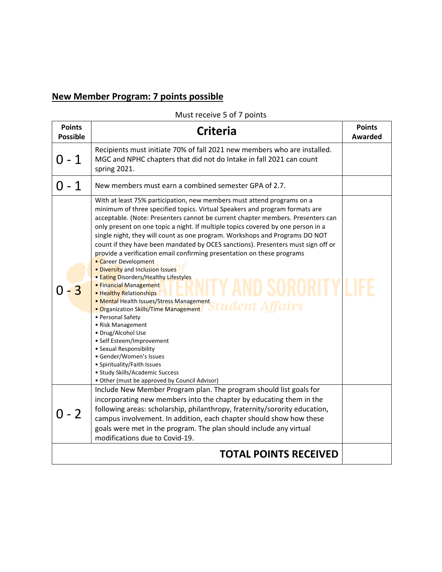# **New Member Program: 7 points possible**

Must receive 5 of 7 points

| <b>Points</b><br><b>Possible</b> | <b>Criteria</b>                                                                                                                                                                                                                                                                                                                                                                                                                                                                                                                                                                                                                                                                                                                                                                                                                                                                                                                                                                                                                                                                                                   | <b>Points</b><br><b>Awarded</b> |
|----------------------------------|-------------------------------------------------------------------------------------------------------------------------------------------------------------------------------------------------------------------------------------------------------------------------------------------------------------------------------------------------------------------------------------------------------------------------------------------------------------------------------------------------------------------------------------------------------------------------------------------------------------------------------------------------------------------------------------------------------------------------------------------------------------------------------------------------------------------------------------------------------------------------------------------------------------------------------------------------------------------------------------------------------------------------------------------------------------------------------------------------------------------|---------------------------------|
| 0 - 1                            | Recipients must initiate 70% of fall 2021 new members who are installed.<br>MGC and NPHC chapters that did not do Intake in fall 2021 can count<br>spring 2021.                                                                                                                                                                                                                                                                                                                                                                                                                                                                                                                                                                                                                                                                                                                                                                                                                                                                                                                                                   |                                 |
| Ი - 1                            | New members must earn a combined semester GPA of 2.7.                                                                                                                                                                                                                                                                                                                                                                                                                                                                                                                                                                                                                                                                                                                                                                                                                                                                                                                                                                                                                                                             |                                 |
|                                  | With at least 75% participation, new members must attend programs on a<br>minimum of three specified topics. Virtual Speakers and program formats are<br>acceptable. (Note: Presenters cannot be current chapter members. Presenters can<br>only present on one topic a night. If multiple topics covered by one person in a<br>single night, they will count as one program. Workshops and Programs DO NOT<br>count if they have been mandated by OCES sanctions). Presenters must sign off or<br>provide a verification email confirming presentation on these programs<br>• Career Development<br>. Diversity and Inclusion Issues<br>· Eating Disorders/Healthy Lifestyles<br>• Financial Management<br>• Healthy Relationships<br>• Mental Health Issues/Stress Management<br>Student Affairs<br>• Organization Skills/Time Management<br>• Personal Safety<br>• Risk Management<br>· Drug/Alcohol Use<br>• Self Esteem/Improvement<br>• Sexual Responsibility<br>· Gender/Women's Issues<br>• Spirituality/Faith Issues<br>• Study Skills/Academic Success<br>• Other (must be approved by Council Advisor) |                                 |
| $0 - 2$                          | Include New Member Program plan. The program should list goals for<br>incorporating new members into the chapter by educating them in the<br>following areas: scholarship, philanthropy, fraternity/sorority education,<br>campus involvement. In addition, each chapter should show how these<br>goals were met in the program. The plan should include any virtual<br>modifications due to Covid-19.                                                                                                                                                                                                                                                                                                                                                                                                                                                                                                                                                                                                                                                                                                            |                                 |
|                                  | <b>TOTAL POINTS RECEIVED</b>                                                                                                                                                                                                                                                                                                                                                                                                                                                                                                                                                                                                                                                                                                                                                                                                                                                                                                                                                                                                                                                                                      |                                 |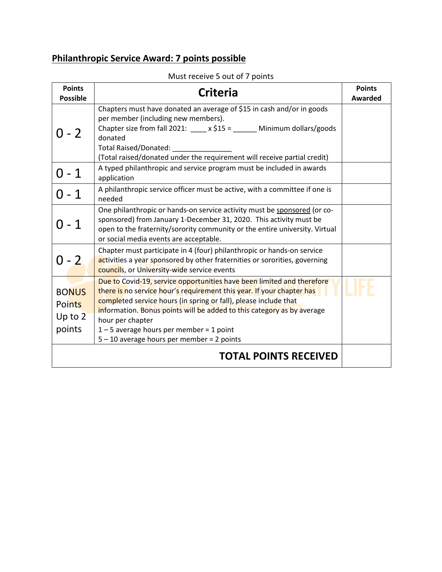## **Philanthropic Service Award: 7 points possible**

| <b>Points</b><br><b>Possible</b>                     | <b>Criteria</b>                                                                                                                                                                                                                                                                                                                                                                                             | <b>Points</b><br><b>Awarded</b> |
|------------------------------------------------------|-------------------------------------------------------------------------------------------------------------------------------------------------------------------------------------------------------------------------------------------------------------------------------------------------------------------------------------------------------------------------------------------------------------|---------------------------------|
| 0 - 2                                                | Chapters must have donated an average of \$15 in cash and/or in goods<br>per member (including new members).<br>Chapter size from fall 2021: $\frac{1}{2}$ x \$15 = _______ Minimum dollars/goods<br>donated<br><b>Total Raised/Donated:</b><br>(Total raised/donated under the requirement will receive partial credit)                                                                                    |                                 |
| $0 - 1$                                              | A typed philanthropic and service program must be included in awards<br>application                                                                                                                                                                                                                                                                                                                         |                                 |
| $0 - 1$                                              | A philanthropic service officer must be active, with a committee if one is<br>needed                                                                                                                                                                                                                                                                                                                        |                                 |
| Ი - 1                                                | One philanthropic or hands-on service activity must be sponsored (or co-<br>sponsored) from January 1-December 31, 2020. This activity must be<br>open to the fraternity/sorority community or the entire university. Virtual<br>or social media events are acceptable.                                                                                                                                     |                                 |
| $0 - 2$                                              | Chapter must participate in 4 (four) philanthropic or hands-on service<br>activities a year sponsored by other fraternities or sororities, governing<br>councils, or University-wide service events                                                                                                                                                                                                         |                                 |
| <b>BONUS</b><br><b>Points</b><br>Up to $2$<br>points | Due to Covid-19, service opportunities have been limited and therefore<br>there is no service hour's requirement this year. If your chapter has<br>completed service hours (in spring or fall), please include that<br>information. Bonus points will be added to this category as by average<br>hour per chapter<br>$1 - 5$ average hours per member = 1 point<br>5-10 average hours per member = 2 points |                                 |
|                                                      | <b>TOTAL POINTS RECEIVED</b>                                                                                                                                                                                                                                                                                                                                                                                |                                 |

Must receive 5 out of 7 points